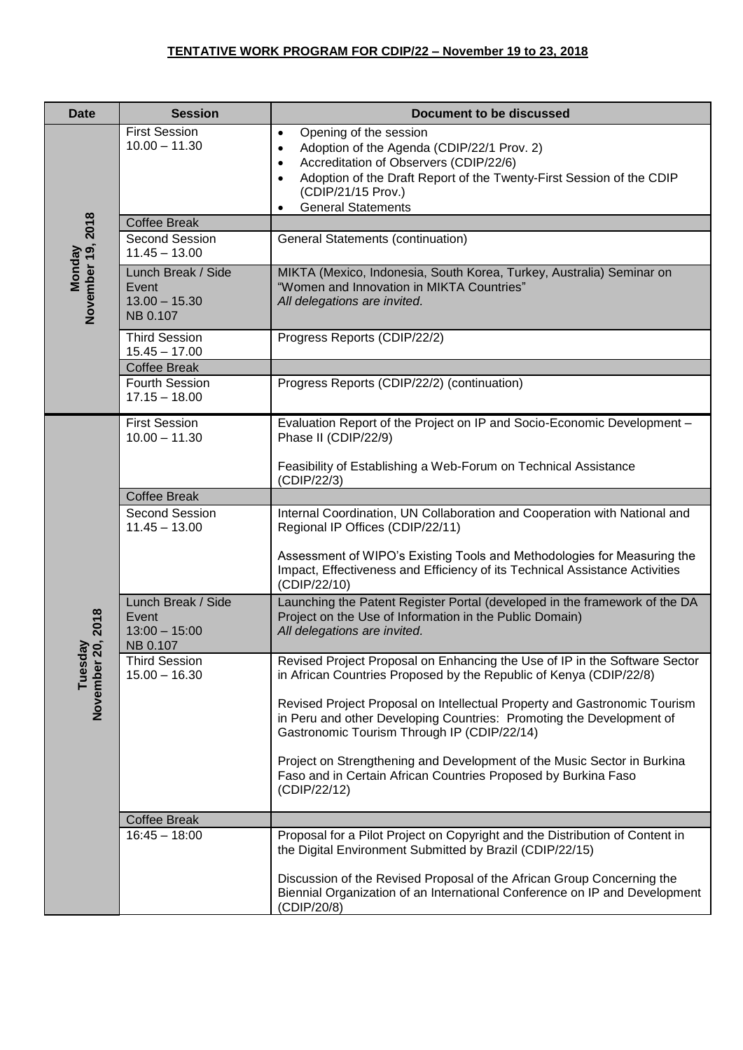## **TENTATIVE WORK PROGRAM FOR CDIP/22 – November 19 to 23, 2018**

| <b>Date</b>                         | <b>Session</b>                                             | <b>Document to be discussed</b>                                                                                                                                                                                                                                                                            |
|-------------------------------------|------------------------------------------------------------|------------------------------------------------------------------------------------------------------------------------------------------------------------------------------------------------------------------------------------------------------------------------------------------------------------|
| November 19, 2018<br><b>Monday</b>  | <b>First Session</b><br>$10.00 - 11.30$                    | Opening of the session<br>$\bullet$<br>Adoption of the Agenda (CDIP/22/1 Prov. 2)<br>$\bullet$<br>Accreditation of Observers (CDIP/22/6)<br>$\bullet$<br>Adoption of the Draft Report of the Twenty-First Session of the CDIP<br>$\bullet$<br>(CDIP/21/15 Prov.)<br><b>General Statements</b><br>$\bullet$ |
|                                     | <b>Coffee Break</b>                                        |                                                                                                                                                                                                                                                                                                            |
|                                     | Second Session<br>$11.45 - 13.00$                          | <b>General Statements (continuation)</b>                                                                                                                                                                                                                                                                   |
|                                     | Lunch Break / Side<br>Event<br>$13.00 - 15.30$<br>NB 0.107 | MIKTA (Mexico, Indonesia, South Korea, Turkey, Australia) Seminar on<br>"Women and Innovation in MIKTA Countries"<br>All delegations are invited.                                                                                                                                                          |
|                                     | <b>Third Session</b><br>$15.45 - 17.00$                    | Progress Reports (CDIP/22/2)                                                                                                                                                                                                                                                                               |
|                                     | <b>Coffee Break</b>                                        |                                                                                                                                                                                                                                                                                                            |
|                                     | Fourth Session<br>$17.15 - 18.00$                          | Progress Reports (CDIP/22/2) (continuation)                                                                                                                                                                                                                                                                |
|                                     | <b>First Session</b><br>$10.00 - 11.30$                    | Evaluation Report of the Project on IP and Socio-Economic Development -<br>Phase II (CDIP/22/9)                                                                                                                                                                                                            |
|                                     |                                                            | Feasibility of Establishing a Web-Forum on Technical Assistance<br>(CDIP/22/3)                                                                                                                                                                                                                             |
|                                     | <b>Coffee Break</b>                                        |                                                                                                                                                                                                                                                                                                            |
| 20, 2018<br>λÃ<br>Tuesd<br>November | Second Session<br>$11.45 - 13.00$                          | Internal Coordination, UN Collaboration and Cooperation with National and<br>Regional IP Offices (CDIP/22/11)                                                                                                                                                                                              |
|                                     |                                                            | Assessment of WIPO's Existing Tools and Methodologies for Measuring the<br>Impact, Effectiveness and Efficiency of its Technical Assistance Activities<br>(CDIP/22/10)                                                                                                                                     |
|                                     | Lunch Break / Side<br>Event<br>$13:00 - 15:00$<br>NB 0.107 | Launching the Patent Register Portal (developed in the framework of the DA<br>Project on the Use of Information in the Public Domain)<br>All delegations are invited.                                                                                                                                      |
|                                     | <b>Third Session</b><br>$15.00 - 16.30$                    | Revised Project Proposal on Enhancing the Use of IP in the Software Sector<br>in African Countries Proposed by the Republic of Kenya (CDIP/22/8)                                                                                                                                                           |
|                                     |                                                            | Revised Project Proposal on Intellectual Property and Gastronomic Tourism<br>in Peru and other Developing Countries: Promoting the Development of<br>Gastronomic Tourism Through IP (CDIP/22/14)                                                                                                           |
|                                     |                                                            | Project on Strengthening and Development of the Music Sector in Burkina<br>Faso and in Certain African Countries Proposed by Burkina Faso<br>(CDIP/22/12)                                                                                                                                                  |
|                                     | <b>Coffee Break</b>                                        |                                                                                                                                                                                                                                                                                                            |
|                                     | $16:45 - 18:00$                                            | Proposal for a Pilot Project on Copyright and the Distribution of Content in<br>the Digital Environment Submitted by Brazil (CDIP/22/15)                                                                                                                                                                   |
|                                     |                                                            | Discussion of the Revised Proposal of the African Group Concerning the<br>Biennial Organization of an International Conference on IP and Development<br>(CDIP/20/8)                                                                                                                                        |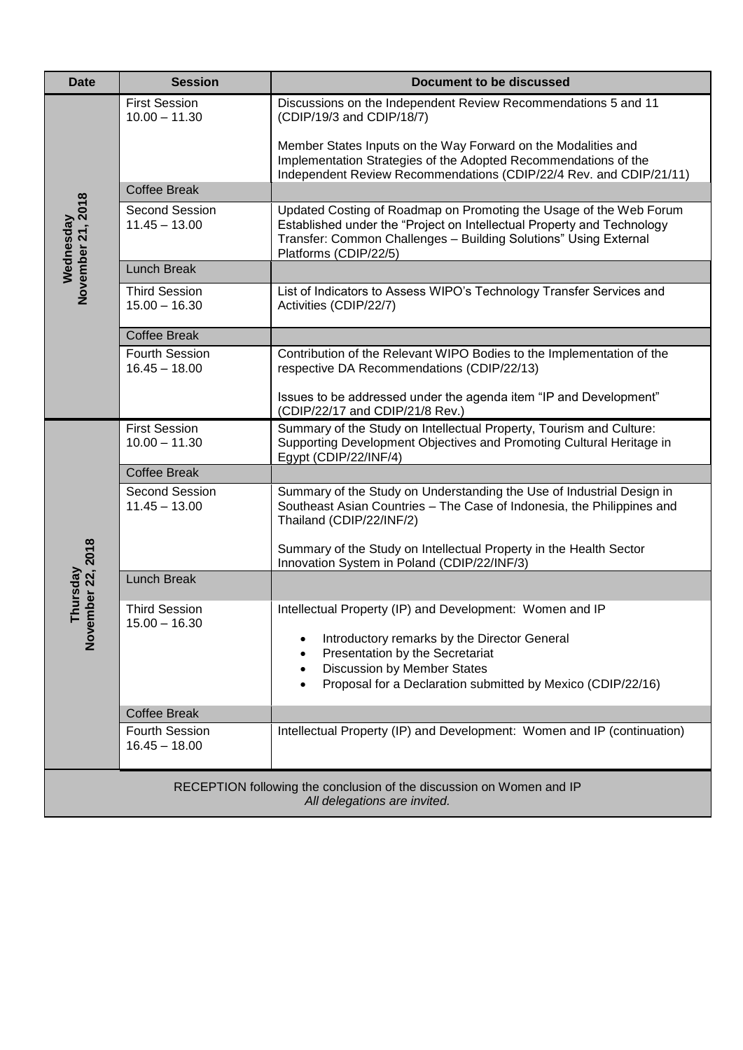| <b>Date</b>                                                                                          | <b>Session</b>                          | <b>Document to be discussed</b>                                                                                                                                                                                                           |  |  |
|------------------------------------------------------------------------------------------------------|-----------------------------------------|-------------------------------------------------------------------------------------------------------------------------------------------------------------------------------------------------------------------------------------------|--|--|
| Wednesday<br>November 21, 2018                                                                       | <b>First Session</b><br>$10.00 - 11.30$ | Discussions on the Independent Review Recommendations 5 and 11<br>(CDIP/19/3 and CDIP/18/7)                                                                                                                                               |  |  |
|                                                                                                      |                                         | Member States Inputs on the Way Forward on the Modalities and<br>Implementation Strategies of the Adopted Recommendations of the<br>Independent Review Recommendations (CDIP/22/4 Rev. and CDIP/21/11)                                    |  |  |
|                                                                                                      | <b>Coffee Break</b>                     |                                                                                                                                                                                                                                           |  |  |
|                                                                                                      | Second Session<br>$11.45 - 13.00$       | Updated Costing of Roadmap on Promoting the Usage of the Web Forum<br>Established under the "Project on Intellectual Property and Technology<br>Transfer: Common Challenges - Building Solutions" Using External<br>Platforms (CDIP/22/5) |  |  |
|                                                                                                      | <b>Lunch Break</b>                      |                                                                                                                                                                                                                                           |  |  |
|                                                                                                      | <b>Third Session</b><br>$15.00 - 16.30$ | List of Indicators to Assess WIPO's Technology Transfer Services and<br>Activities (CDIP/22/7)                                                                                                                                            |  |  |
|                                                                                                      | <b>Coffee Break</b>                     |                                                                                                                                                                                                                                           |  |  |
|                                                                                                      | Fourth Session<br>$16.45 - 18.00$       | Contribution of the Relevant WIPO Bodies to the Implementation of the<br>respective DA Recommendations (CDIP/22/13)                                                                                                                       |  |  |
|                                                                                                      |                                         | Issues to be addressed under the agenda item "IP and Development"<br>(CDIP/22/17 and CDIP/21/8 Rev.)                                                                                                                                      |  |  |
|                                                                                                      | <b>First Session</b><br>$10.00 - 11.30$ | Summary of the Study on Intellectual Property, Tourism and Culture:<br>Supporting Development Objectives and Promoting Cultural Heritage in<br>Egypt (CDIP/22/INF/4)                                                                      |  |  |
|                                                                                                      | <b>Coffee Break</b>                     |                                                                                                                                                                                                                                           |  |  |
| Thursday<br>ember 22, 2018                                                                           | Second Session<br>$11.45 - 13.00$       | Summary of the Study on Understanding the Use of Industrial Design in<br>Southeast Asian Countries - The Case of Indonesia, the Philippines and<br>Thailand (CDIP/22/INF/2)                                                               |  |  |
|                                                                                                      |                                         | Summary of the Study on Intellectual Property in the Health Sector<br>Innovation System in Poland (CDIP/22/INF/3)                                                                                                                         |  |  |
|                                                                                                      | <b>Lunch Break</b>                      |                                                                                                                                                                                                                                           |  |  |
|                                                                                                      | <b>Third Session</b><br>$15.00 - 16.30$ | Intellectual Property (IP) and Development: Women and IP                                                                                                                                                                                  |  |  |
| $\sum_{i=1}^{N}$                                                                                     |                                         | Introductory remarks by the Director General<br>Presentation by the Secretariat                                                                                                                                                           |  |  |
|                                                                                                      |                                         | Discussion by Member States                                                                                                                                                                                                               |  |  |
|                                                                                                      |                                         | Proposal for a Declaration submitted by Mexico (CDIP/22/16)                                                                                                                                                                               |  |  |
|                                                                                                      | <b>Coffee Break</b>                     |                                                                                                                                                                                                                                           |  |  |
|                                                                                                      | Fourth Session<br>$16.45 - 18.00$       | Intellectual Property (IP) and Development: Women and IP (continuation)                                                                                                                                                                   |  |  |
| RECEPTION following the conclusion of the discussion on Women and IP<br>All delegations are invited. |                                         |                                                                                                                                                                                                                                           |  |  |